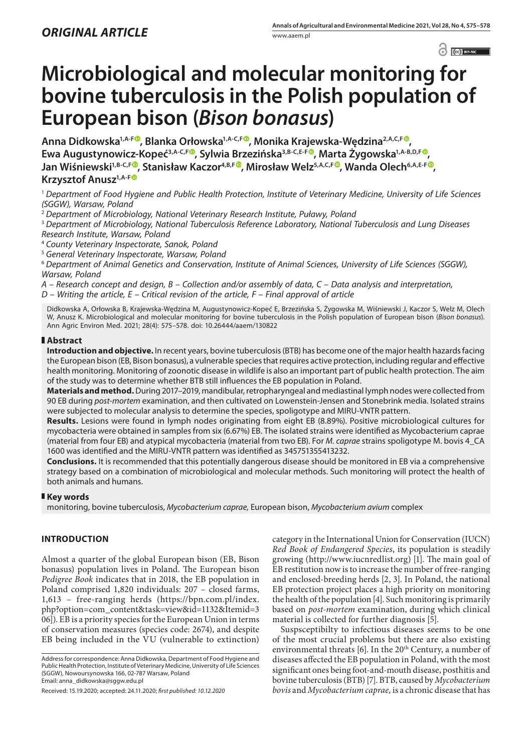$\left| \begin{array}{c} \circ \\ \circ \end{array} \right|$   $\left| \begin{array}{c} \circ \\ \circ \end{array} \right|$  by NC

# **Microbiological and molecular monitoring for bovine tuberculosis in the Polish population of European bison (***Bison bonasus***)**

Anna Didkowska<sup>1,A-[F](https://orcid.org/0000-0002-5826-2068)®</sup>, Blanka Orłowska<sup>1,A-C,F®</sup>, Monika Krajewska-Wędzina<sup>2,A,C,F®</sup> **Ewa Augustynowicz-Kopeć3,A-C,[F](https://orcid.org/0000-0001-6162-8748) , Sylwia Brzezińska3,B-C,E-[F](https://orcid.org/0000-0002-0746-7063) , Marta Żygowska1,A-B,D,F , Jan Wiśniewski1,B-C,F , Stanisław Kaczor4,B,F [,](https://orcid.org/0000-0002-1160-506X) Mirosław Welz5,A,C,F , Wanda Olech6,A,E-F [,](https://orcid.org/0000-0002-6166-3954) Krzysztof Anusz1,A-F**

<sup>1</sup> *Department of Food Hygiene and Public Health Protection, Institute of Veterinary Medicine, University of Life Sciences (SGGW), Warsaw, Poland*

<sup>2</sup> *Department of Microbiology, National Veterinary Research Institute, Puławy, Poland*

<sup>3</sup> *Department of Microbiology, National Tuberculosis Reference Laboratory, National Tuberculosis and Lung Diseases Research Institute, Warsaw, Poland*

<sup>4</sup> *County Veterinary Inspectorate, Sanok, Poland*

<sup>5</sup> *General Veterinary Inspectorate, Warsaw, Poland*

<sup>6</sup> *Department of Animal Genetics and Conservation, Institute of Animal Sciences, University of Life Sciences (SGGW), Warsaw, Poland*

*A – Research concept and design, B – Collection and/or assembly of data, C – Data analysis and interpretation,* 

*D – Writing the article, E – Critical revision of the article, F – Final approval of article*

Didkowska A, Orłowska B, Krajewska-Wędzina M, Augustynowicz-Kopeć E, Brzezińska S, Żygowska M, Wiśniewski J, Kaczor S, Welz M, Olech W, Anusz K. Microbiological and molecular monitoring for bovine tuberculosis in the Polish population of European bison (*Bison bonasus*). Ann Agric Environ Med. 2021; 28(4): 575–578. doi: 10.26444/aaem/130822

## **Abstract**

**Introduction and objective.** In recent years, bovine tuberculosis (BTB) has become one of the major health hazards facing the European bison (EB, Bison bonasus), a vulnerable species that requires active protection, including regular and effective health monitoring. Monitoring of zoonotic disease in wildlife is also an important part of public health protection. The aim of the study was to determine whether BTB still influences the EB population in Poland.

**Materials and method.** During 2017–2019, mandibular, retropharyngeal and mediastinal lymph nodes were collected from 90 EB during *post-mortem* examination, and then cultivated on Lowenstein-Jensen and Stonebrink media. Isolated strains were subjected to molecular analysis to determine the species, spoligotype and MIRU-VNTR pattern.

**Results.** Lesions were found in lymph nodes originating from eight EB (8.89%). Positive microbiological cultures for mycobacteria were obtained in samples from six (6.67%) EB. The isolated strains were identified as Mycobacterium caprae (material from four EB) and atypical mycobacteria (material from two EB). For *M. caprae* strains spoligotype M. bovis 4\_CA 1600 was identified and the MIRU-VNTR pattern was identified as 345751355413232.

**Conclusions.** It is recommended that this potentially dangerous disease should be monitored in EB via a comprehensive strategy based on a combination of microbiological and molecular methods. Such monitoring will protect the health of both animals and humans.

## **Key words**

monitoring, bovine tuberculosis, *Mycobacterium caprae,* European bison, *Mycobacterium avium* complex

## **INTRODUCTION**

Almost a quarter of the global European bison (EB, Bison bonasus) population lives in Poland. The European bison *Pedigree Book* indicates that in 2018, the EB population in Poland comprised 1,820 individuals: 207 – closed farms, 1,613 – free-ranging herds (https://bpn.com.pl/index. php?option=com\_content&task=view&id=1132&Itemid=3 06]). EB is a priority species for the European Union in terms of conservation measures (species code: 2674), and despite EB being included in the  $\overline{V}U$  (vulnerable to extinction)

Received: 15.19.2020; accepted: 24.11.2020; *first published: 10.12.2020*

category in the International Union for Conservation (IUCN) *Red Book of Endangered Species*, its population is steadily growing (http://www.iucnredlist.org) [1]. The main goal of EB restitution now is to increase the number of free-ranging and enclosed-breeding herds [2, 3]. In Poland, the national EB protection project places a high priority on monitoring the health of the population [4]. Such monitoring is primarily based on *post-mortem* examination, during which clinical material is collected for further diagnosis [5].

Suspsceptibilty to infectious diseases seems to be one of the most crucial problems but there are also existing environmental threats [6]. In the 20<sup>th</sup> Century, a number of diseases affected the EB population in Poland, with the most significant ones being foot-and-mouth disease, posthitis and bovine tuberculosis (BTB) [7]. BTB, caused by *Mycobacterium bovis* and *Mycobacterium caprae,* is a chronic disease that has

Address for correspondence: Anna Didkowska, Department of Food Hygiene and Public Health Protection, Institute of Veterinary Medicine, University of Life Sciences (SGGW), Nowoursynowska 166, 02-787 Warsaw, Poland Email: anna\_didkowska@sggw.edu.pl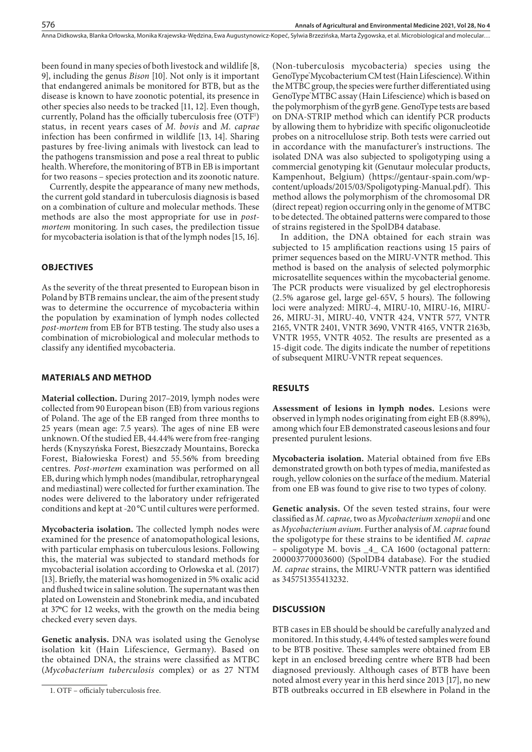been found in many species of both livestock and wildlife [8, 9], including the genus *Bison* [10]. Not only is it important that endangered animals be monitored for BTB, but as the disease is known to have zoonotic potential, its presence in other species also needs to be tracked [11, 12]. Even though, currently, Poland has the officially tuberculosis free (OTF1 ) status, in recent years cases of *M. bovis* and *M. caprae*  infection has been confirmed in wildlife [13, 14]. Sharing pastures by free-living animals with livestock can lead to the pathogens transmission and pose a real threat to public health. Wherefore, the monitoring of BTB in EB is important for two reasons – species protection and its zoonotic nature.

Currently, despite the appearance of many new methods, the current gold standard in tuberculosis diagnosis is based on a combination of culture and molecular methods. These methods are also the most appropriate for use in *postmortem* monitoring. In such cases, the predilection tissue for mycobacteria isolation is that of the lymph nodes [15, 16].

### **OBJECTIVES**

As the severity of the threat presented to European bison in Poland by BTB remains unclear, the aim of the present study was to determine the occurrence of mycobacteria within the population by examination of lymph nodes collected *post-mortem* from EB for BTB testing. The study also uses a combination of microbiological and molecular methods to classify any identified mycobacteria.

#### **MATERIALS AND METHOD**

**Material collection.** During 2017–2019, lymph nodes were collected from 90 European bison (EB) from various regions of Poland. The age of the EB ranged from three months to 25 years (mean age: 7.5 years). The ages of nine EB were unknown. Of the studied EB, 44.44% were from free-ranging herds (Knyszyńska Forest, Bieszczady Mountains, Borecka Forest, Białowieska Forest) and 55.56% from breeding centres. *Post-mortem* examination was performed on all EB, during which lymph nodes (mandibular, retropharyngeal and mediastinal) were collected for further examination. The nodes were delivered to the laboratory under refrigerated conditions and kept at -20 °C until cultures were performed.

**Mycobacteria isolation.** The collected lymph nodes were examined for the presence of anatomopathological lesions, with particular emphasis on tuberculous lesions. Following this, the material was subjected to standard methods for mycobacterial isolation according to Orlowska et al. (2017) [13]. Briefly, the material was homogenized in 5% oxalic acid and flushed twice in saline solution. The supernatant was then plated on Lowenstein and Stonebrink media, and incubated at 37**<sup>o</sup>** C for 12 weeks, with the growth on the media being checked every seven days.

**Genetic analysis.** DNA was isolated using the Genolyse isolation kit (Hain Lifescience, Germany). Based on the obtained DNA, the strains were classified as MTBC (*Mycobacterium tuberculosis* complex) or as 27 NTM

(Non-tuberculosis mycobacteria) species using the GenoType® Mycobacterium CM test (Hain Lifescience). Within the MTBC group, the species were further differentiated using GenoType® MTBC assay (Hain Lifescience) which is based on the polymorphism of the gyrB gene. GenoType tests are based on DNA-STRIP method which can identify PCR products by allowing them to hybridize with specific oligonucleotide probes on a nitrocellulose strip. Both tests were carried out in accordance with the manufacturer's instructions. The isolated DNA was also subjected to spoligotyping using a commercial genotyping kit (Genutaur molecular products, Kampenhout, Belgium) ([https://gentaur-spain.com/wp](https://gentaur-spain.com/wp-content/uploads/2015/03/Spoligotyping-Manual.pdf)[content/uploads/2015/03/Spoligotyping-Manual.pdf](https://gentaur-spain.com/wp-content/uploads/2015/03/Spoligotyping-Manual.pdf)). This method allows the polymorphism of the chromosomal DR (direct repeat) region occurring only in the genome of MTBC to be detected. The obtained patterns were compared to those of strains registered in the SpolDB4 database.

In addition, the DNA obtained for each strain was subjected to 15 amplification reactions using 15 pairs of primer sequences based on the MIRU-VNTR method. This method is based on the analysis of selected polymorphic microsatellite sequences within the mycobacterial genome. The PCR products were visualized by gel electrophoresis (2.5% agarose gel, large gel-65V, 5 hours). The following loci were analyzed: MIRU-4, MIRU-10, MIRU-16, MIRU-26, MIRU-31, MIRU-40, VNTR 424, VNTR 577, VNTR 2165, VNTR 2401, VNTR 3690, VNTR 4165, VNTR 2163b, VNTR 1955, VNTR 4052. The results are presented as a 15-digit code. The digits indicate the number of repetitions of subsequent MIRU-VNTR repeat sequences.

#### **RESULTS**

**Assessment of lesions in lymph nodes.** Lesions were observed in lymph nodes originating from eight EB (8.89%), among which four EB demonstrated caseous lesions and four presented purulent lesions.

**Mycobacteria isolation.** Material obtained from five EBs demonstrated growth on both types of media, manifested as rough, yellow colonies on the surface of the medium. Material from one EB was found to give rise to two types of colony.

**Genetic analysis.** Of the seven tested strains, four were classified as *M. caprae,* two as *Mycobacterium xenopii* and one as *Mycobacterium avium.* Further analysis of *M. caprae* found the spoligotype for these strains to be identified *M. caprae –* spoligotype M. bovis \_4\_ CA 1600 (octagonal pattern: 200003770003600) (SpolDB4 database). For the studied *M. caprae* strains, the MIRU-VNTR pattern was identified as 345751355413232.

#### **DISCUSSION**

BTB cases in EB should be should be carefully analyzed and monitored. In this study, 4.44% of tested samples were found to be BTB positive. These samples were obtained from EB kept in an enclosed breeding centre where BTB had been diagnosed previously. Although cases of BTB have been noted almost every year in this herd since 2013 [17], no new BTB outbreaks occurred in EB elsewhere in Poland in the

<sup>1.</sup> OTF – officialy tuberculosis free.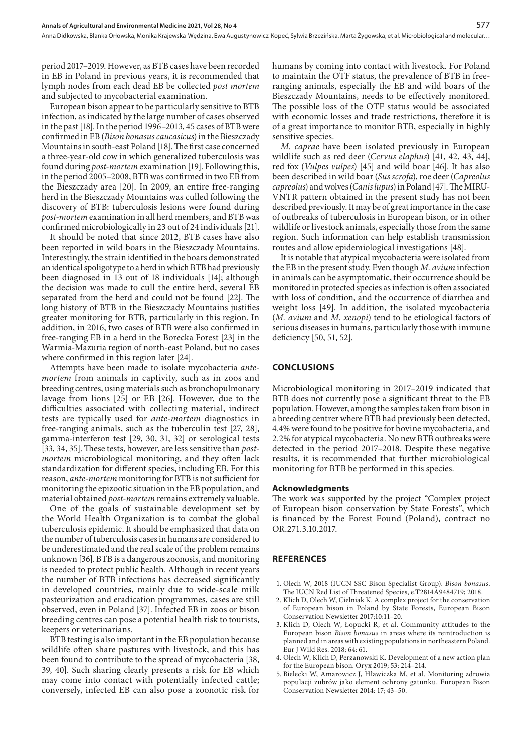Anna Didkowska, Blanka Orłowska, Monika Krajewska-Wędzina, Ewa Augustynowicz-Kopeć, Sylwia Brzezińska, Marta Żygowska , et al. Microbiological and molecular…

period 2017–2019. However, as BTB cases have been recorded in EB in Poland in previous years, it is recommended that lymph nodes from each dead EB be collected *post mortem* and subjected to mycobacterial examination.

European bison appear to be particularly sensitive to BTB infection, as indicated by the large number of cases observed in the past [18]. In the period 1996–2013, 45 cases of BTB were confirmed in EB (*Bison bonasus caucasicus*) in the Bieszczady Mountains in south-east Poland [18]. The first case concerned a three-year-old cow in which generalized tuberculosis was found during *post-mortem* examination [19]. Following this, in the period 2005–2008, BTB was confirmed in two EB from the Bieszczady area [20]. In 2009, an entire free-ranging herd in the Bieszczady Mountains was culled following the discovery of BTB: tuberculosis lesions were found during *post-mortem* examination in all herd members, and BTB was confirmed microbiologically in 23 out of 24 individuals [21].

It should be noted that since 2012, BTB cases have also been reported in wild boars in the Bieszczady Mountains. Interestingly, the strain identified in the boars demonstrated an identical spoligotype to a herd in which BTB had previously been diagnosed in 13 out of 18 individuals [14]; although the decision was made to cull the entire herd, several EB separated from the herd and could not be found [22]. The long history of BTB in the Bieszczady Mountains justifies greater monitoring for BTB, particularly in this region. In addition, in 2016, two cases of BTB were also confirmed in free-ranging EB in a herd in the Borecka Forest [23] in the Warmia-Mazuria region of north-east Poland, but no cases where confirmed in this region later [24].

Attempts have been made to isolate mycobacteria *antemortem* from animals in captivity, such as in zoos and breeding centres, using materials such as bronchopulmonary lavage from lions [25] or EB [26]. However, due to the difficulties associated with collecting material, indirect tests are typically used for *ante-mortem* diagnostics in free-ranging animals, such as the tuberculin test [27, 28], gamma-interferon test [29, 30, 31, 32] or serological tests [33, 34, 35]. These tests, however, are less sensitive than *postmortem* microbiological monitoring, and they often lack standardization for different species, including EB. For this reason, *ante-mortem* monitoring for BTB is not sufficient for monitoring the epizootic situation in the EB population, and material obtained *post-mortem* remains extremely valuable.

One of the goals of sustainable development set by the World Health Organization is to combat the global tuberculosis epidemic. It should be emphasized that data on the number of tuberculosis cases in humans are considered to be underestimated and the real scale of the problem remains unknown [36]. BTB is a dangerous zoonosis, and monitoring is needed to protect public health. Although in recent years the number of BTB infections has decreased significantly in developed countries, mainly due to wide-scale milk pasteurization and eradication programmes, cases are still observed, even in Poland [37]. Infected EB in zoos or bison breeding centres can pose a potential health risk to tourists, keepers or veterinarians.

BTB testing is also important in the EB population because wildlife often share pastures with livestock, and this has been found to contribute to the spread of mycobacteria [38, 39, 40]. Such sharing clearly presents a risk for EB which may come into contact with potentially infected cattle; conversely, infected EB can also pose a zoonotic risk for humans by coming into contact with livestock. For Poland to maintain the OTF status, the prevalence of BTB in freeranging animals, especially the EB and wild boars of the Bieszczady Mountains, needs to be effectively monitored. The possible loss of the OTF status would be associated with economic losses and trade restrictions, therefore it is of a great importance to monitor BTB, especially in highly sensitive species.

*M. caprae* have been isolated previously in European wildlife such as red deer (*Cervus elaphus*) [41, 42, 43, 44], red fox (*Vulpes vulpes*) [45] and wild boar [46]. It has also been described in wild boar (*Sus scrofa*), roe deer (*Capreolus capreolus*) and wolves (*Canis lupus*) in Poland [47]. The MIRU-VNTR pattern obtained in the present study has not been described previously. It may be of great importance in the case of outbreaks of tuberculosis in European bison, or in other wildlife or livestock animals, especially those from the same region. Such information can help establish transmission routes and allow epidemiological investigations [48].

It is notable that atypical mycobacteria were isolated from the EB in the present study. Even though *M. avium* infection in animals can be asymptomatic, their occurrence should be monitored in protected species as infection is often associated with loss of condition, and the occurrence of diarrhea and weight loss [49]. In addition, the isolated mycobacteria (*M. avium* and *M. xenopi*) tend to be etiological factors of serious diseases in humans, particularly those with immune deficiency [50, 51, 52].

#### **CONCLUSIONS**

Microbiological monitoring in 2017–2019 indicated that BTB does not currently pose a significant threat to the EB population. However, among the samples taken from bison in a breeding centrer where BTB had previously been detected, 4.4% were found to be positive for bovine mycobacteria, and 2.2% for atypical mycobacteria. No new BTB outbreaks were detected in the period 2017–2018. Despite these negative results, it is recommended that further microbiological monitoring for BTB be performed in this species.

#### **Acknowledgments**

The work was supported by the project "Complex project of European bison conservation by State Forests", which is financed by the Forest Found (Poland), contract no OR.271.3.10.2017.

#### **REFERENCES**

- 1. Olech W, 2018 (IUCN SSC Bison Specialist Group). *Bison bonasus*. The IUCN Red List of Threatened Species, e.T2814A9484719; 2018.
- 2. Klich D, Olech W, Cielniak K. A complex project for the conservation of European bison in Poland by State Forests, European Bison Conservation Newsletter 2017;10:11–20.
- 3. Klich D, Olech W, Łopucki R, et al. Community attitudes to the European bison *Bison bonasus* in areas where its reintroduction is planned and in areas with existing populations in northeastern Poland. Eur J Wild Res. 2018; 64: 61.
- 4. Olech W, Klich D, Perzanowski K. Development of a new action plan for the European bison. Oryx 2019; 53: 214–214.
- 5. Bielecki W, Amarowicz J, Hławiczka M, et al. Monitoring zdrowia populacji żubrów jako element ochrony gatunku. European Bison Conservation Newsletter 2014: 17; 43–50.